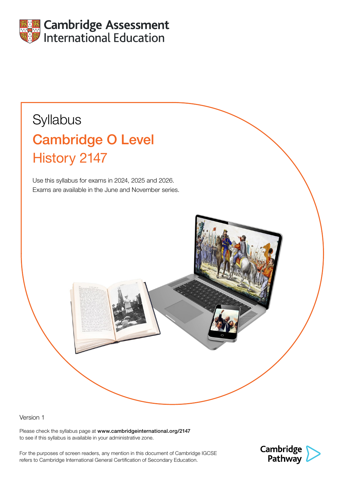

# **Syllabus** Cambridge O Level History 2147

Use this syllabus for exams in 2024, 2025 and 2026. Exams are available in the June and November series.

Version 1

Please check the syllabus page at www.cambridgeinternational.org/2147 to see if this syllabus is available in your administrative zone.

For the purposes of screen readers, any mention in this document of Cambridge IGCSE refers to Cambridge International General Certification of Secondary Education.

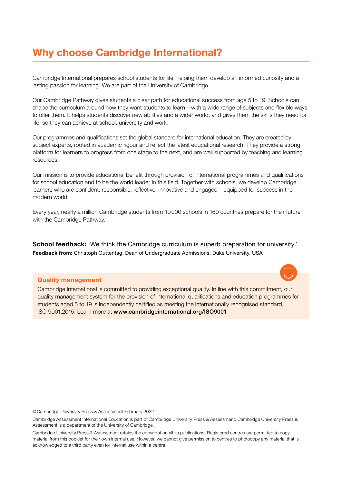# <span id="page-1-0"></span>Why choose Cambridge International?

Cambridge International prepares school students for life, helping them develop an informed curiosity and a lasting passion for learning. We are part of the University of Cambridge.

Our Cambridge Pathway gives students a clear path for educational success from age 5 to 19. Schools can shape the curriculum around how they want students to learn – with a wide range of subjects and flexible ways to offer them. It helps students discover new abilities and a wider world, and gives them the skills they need for life, so they can achieve at school, university and work.

Our programmes and qualifications set the global standard for international education. They are created by subject experts, rooted in academic rigour and reflect the latest educational research. They provide a strong platform for learners to progress from one stage to the next, and are well supported by teaching and learning resources.

Our mission is to provide educational benefit through provision of international programmes and qualifications for school education and to be the world leader in this field. Together with schools, we develop Cambridge learners who are confident, responsible, reflective, innovative and engaged – equipped for success in the modern world.

Every year, nearly a million Cambridge students from 10000 schools in 160 countries prepare for their future with the Cambridge Pathway.

School feedback: 'We think the Cambridge curriculum is superb preparation for university.' Feedback from: Christoph Guttentag, Dean of Undergraduate Admissions, Duke University, USA

#### Quality management

Cambridge International is committed to providing exceptional quality. In line with this commitment, our quality management system for the provision of international qualifications and education programmes for students aged 5 to 19 is independently certified as meeting the internationally recognised standard, ISO 9001:2015. Learn more at www.cambridgeinternational.org/ISO9001

©Cambridge University Press & Assessment February 2022

Cambridge Assessment International Education is part of Cambridge University Press & Assessment. Cambridge University Press & Assessment is a department of the University of Cambridge.

Cambridge University Press & Assessment retains the copyright on all its publications. Registered centres are permitted to copy material from this booklet for their own internal use. However, we cannot give permission to centres to photocopy any material that is acknowledged to a third party even for internal use within a centre.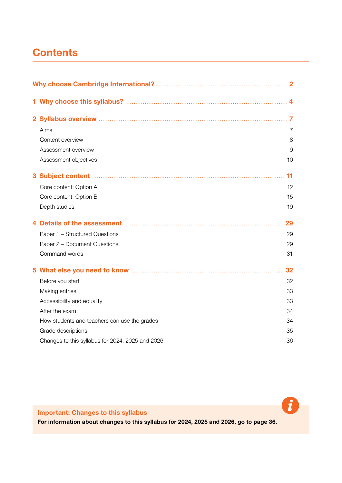# <span id="page-2-0"></span>**Contents**

| Aims                                             | 7  |  |
|--------------------------------------------------|----|--|
| Content overview                                 | 8  |  |
| Assessment overview                              | 9  |  |
| Assessment objectives                            | 10 |  |
|                                                  |    |  |
| Core content: Option A                           | 12 |  |
| Core content: Option B                           | 15 |  |
| Depth studies                                    | 19 |  |
|                                                  | 29 |  |
| Paper 1 - Structured Questions                   | 29 |  |
| Paper 2 - Document Questions                     | 29 |  |
| Command words                                    | 31 |  |
|                                                  | 32 |  |
| Before you start                                 | 32 |  |
| Making entries                                   | 33 |  |
| Accessibility and equality                       | 33 |  |
| After the exam                                   | 34 |  |
| How students and teachers can use the grades     | 34 |  |
| Grade descriptions                               | 35 |  |
| Changes to this syllabus for 2024, 2025 and 2026 | 36 |  |

Important: Changes to this syllabus

For information about changes to this syllabus for 2024, 2025 and 2026, go to page 36.

 $\boldsymbol{t}$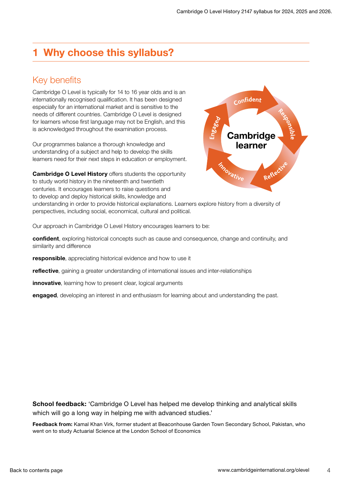# <span id="page-3-0"></span>1 Why choose this syllabus?

# Key benefits

Cambridge O Level is typically for 14 to 16 year olds and is an internationally recognised qualification. It has been designed especially for an international market and is sensitive to the needs of different countries. Cambridge O Level is designed for learners whose first language may not be English, and this is acknowledged throughout the examination process.

Our programmes balance a thorough knowledge and understanding of a subject and help to develop the skills learners need for their next steps in education or employment.

**Cambridge O Level History offers students the opportunity** to study world history in the nineteenth and twentieth centuries. It encourages learners to raise questions and to develop and deploy historical skills, knowledge and



understanding in order to provide historical explanations. Learners explore history from a diversity of perspectives, including social, economical, cultural and political.

Our approach in Cambridge O Level History encourages learners to be:

confident, exploring historical concepts such as cause and consequence, change and continuity, and similarity and difference

responsible, appreciating historical evidence and how to use it

reflective, gaining a greater understanding of international issues and inter-relationships

innovative, learning how to present clear, logical arguments

engaged, developing an interest in and enthusiasm for learning about and understanding the past.

School feedback: 'Cambridge O Level has helped me develop thinking and analytical skills which will go a long way in helping me with advanced studies.'

Feedback from: Kamal Khan Virk, former student at Beaconhouse Garden Town Secondary School, Pakistan, who went on to study Actuarial Science at the London School of Economics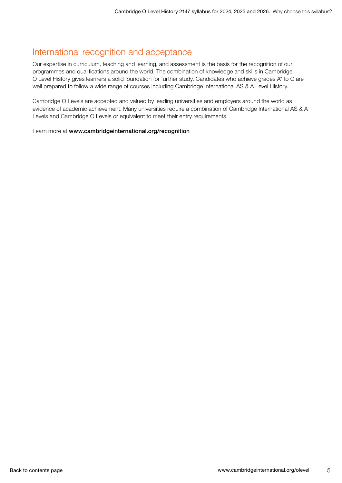# International recognition and acceptance

Our expertise in curriculum, teaching and learning, and assessment is the basis for the recognition of our programmes and qualifications around the world. The combination of knowledge and skills in Cambridge O Level History gives learners a solid foundation for further study. Candidates who achieve grades A\* to C are well prepared to follow a wide range of courses including Cambridge International AS & A Level History.

Cambridge O Levels are accepted and valued by leading universities and employers around the world as evidence of academic achievement. Many universities require a combination of Cambridge International AS & A Levels and Cambridge O Levels or equivalent to meet their entry requirements.

Learn more at www.cambridgeinternational.org/recognition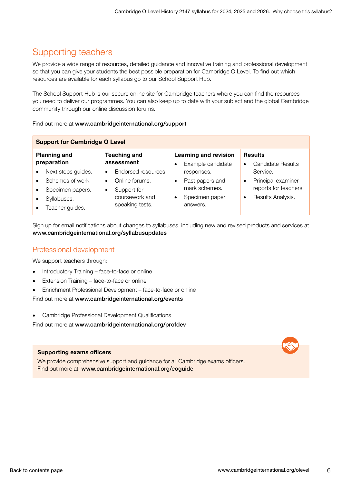# Supporting teachers

We provide a wide range of resources, detailed guidance and innovative training and professional development so that you can give your students the best possible preparation for Cambridge O Level. To find out which resources are available for each syllabus go to our School Support Hub.

The School Support Hub is our secure online site for Cambridge teachers where you can find the resources you need to deliver our programmes. You can also keep up to date with your subject and the global Cambridge community through our online discussion forums.

#### Find out more at www.cambridgeinternational.org/support

| <b>Support for Cambridge O Level</b> |                    |                                   |                     |                                                   |                 |                                                         |                       |
|--------------------------------------|--------------------|-----------------------------------|---------------------|---------------------------------------------------|-----------------|---------------------------------------------------------|-----------------------|
| <b>Planning and</b><br>preparation   |                    | <b>Teaching and</b><br>assessment |                     | <b>Learning and revision</b><br>Example candidate |                 | <b>Results</b><br><b>Candidate Results</b><br>$\bullet$ |                       |
|                                      | Next steps guides. | $\bullet$                         | Endorsed resources. |                                                   | responses.      |                                                         | Service.              |
| $\bullet$                            | Schemes of work.   | $\bullet$                         | Online forums.      |                                                   | Past papers and | $\bullet$                                               | Principal examiner    |
|                                      | Specimen papers.   | $\bullet$                         | Support for         |                                                   | mark schemes.   |                                                         | reports for teachers. |
|                                      | Syllabuses.        |                                   | coursework and      | ٠                                                 | Specimen paper  | $\bullet$                                               | Results Analysis.     |
|                                      | Teacher guides.    |                                   | speaking tests.     |                                                   | answers.        |                                                         |                       |

Sign up for email notifications about changes to syllabuses, including new and revised products and services at www.cambridgeinternational.org/syllabusupdates

### Professional development

We support teachers through:

- Introductory Training face-to-face or online
- Extension Training face-to-face or online
- Enrichment Professional Development face-to-face or online

Find out more at www.cambridgeinternational.org/events

• Cambridge Professional Development Qualifications

Find out more at www.cambridgeinternational.org/profdev

#### Supporting exams officers

We provide comprehensive support and guidance for all Cambridge exams officers. Find out more at: www.cambridgeinternational.org/eoguide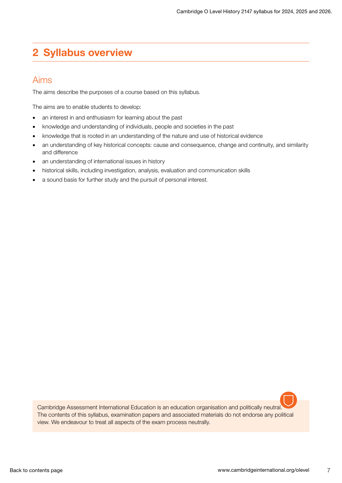# <span id="page-6-0"></span>2 Syllabus overview

### Aims

The aims describe the purposes of a course based on this syllabus.

The aims are to enable students to develop:

- an interest in and enthusiasm for learning about the past
- knowledge and understanding of individuals, people and societies in the past
- knowledge that is rooted in an understanding of the nature and use of historical evidence
- an understanding of key historical concepts: cause and consequence, change and continuity, and similarity and difference
- an understanding of international issues in history
- historical skills, including investigation, analysis, evaluation and communication skills
- a sound basis for further study and the pursuit of personal interest.

Cambridge Assessment International Education is an education organisation and politically neutral. The contents of this syllabus, examination papers and associated materials do not endorse any political view. We endeavour to treat all aspects of the exam process neutrally.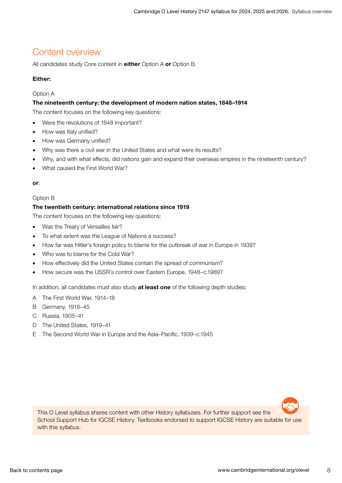# <span id="page-7-0"></span>Content overview

All candidates study Core content in either Option A or Option B.

### Either:

#### Option A

#### The nineteenth century: the development of modern nation states, 1848–1914

The content focuses on the following key questions:

- Were the revolutions of 1848 important?
- How was Italy unified?
- How was Germany unified?
- Why was there a civil war in the United States and what were its results?
- Why, and with what effects, did nations gain and expand their overseas empires in the nineteenth century?
- What caused the First World War?

or:

#### Option B

#### The twentieth century: international relations since 1919

The content focuses on the following key questions:

- Was the Treaty of Versailles fair?
- To what extent was the League of Nations a success?
- How far was Hitler's foreign policy to blame for the outbreak of war in Europe in 1939?
- Who was to blame for the Cold War?
- How effectively did the United States contain the spread of communism?
- How secure was the USSR's control over Eastern Europe, 1948–c.1989?

In addition, all candidates must also study at least one of the following depth studies:

- A The First World War, 1914–18
- B Germany, 1918–45
- C Russia, 1905–41
- D The United States, 1919–41
- E The Second World War in Europe and the Asia–Pacific, 1939–c.1945



This O Level syllabus shares content with other History syllabuses. For further support see the School Support Hub for IGCSE History. Textbooks endorsed to support IGCSE History are suitable for use with this syllabus.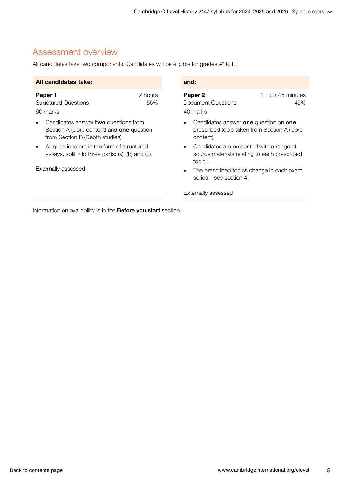# <span id="page-8-0"></span>Assessment overview

All candidates take two components. Candidates will be eligible for grades A\* to E.

| All candidates take:                                                                                                        |  |  | and:                                                                                               |                          |  |
|-----------------------------------------------------------------------------------------------------------------------------|--|--|----------------------------------------------------------------------------------------------------|--------------------------|--|
| 2 hours<br>Paper 1<br><b>Structured Questions</b><br>55%<br>60 marks                                                        |  |  | Paper <sub>2</sub><br>Document Questions<br>40 marks                                               | 1 hour 45 minutes<br>45% |  |
| Candidates answer two questions from<br>Section A (Core content) and <b>one</b> question<br>from Section B (Depth studies). |  |  | Candidates answer one question on one<br>prescribed topic taken from Section A (Core<br>content).  |                          |  |
| All questions are in the form of structured<br>essays, split into three parts: (a), (b) and (c).                            |  |  | Candidates are presented with a range of<br>source materials relating to each prescribed<br>topic. |                          |  |
| Externally assessed                                                                                                         |  |  | The prescribed topics change in each exam<br>series – see section 4.                               |                          |  |

Externally assessed

Information on availability is in the Before you start section.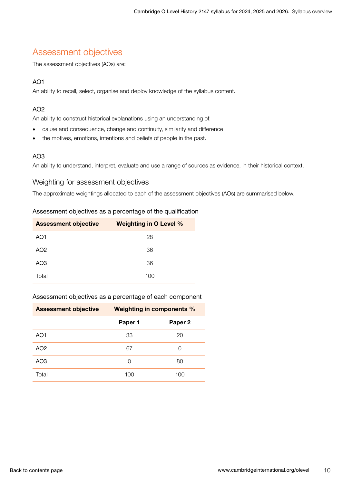# <span id="page-9-0"></span>Assessment objectives

The assessment objectives (AOs) are:

### AO1

An ability to recall, select, organise and deploy knowledge of the syllabus content.

### AO2

An ability to construct historical explanations using an understanding of:

- cause and consequence, change and continuity, similarity and difference
- the motives, emotions, intentions and beliefs of people in the past.

### AO3

An ability to understand, interpret, evaluate and use a range of sources as evidence, in their historical context.

### Weighting for assessment objectives

The approximate weightings allocated to each of the assessment objectives (AOs) are summarised below.

### Assessment objectives as a percentage of the qualification

| <b>Assessment objective</b> | <b>Weighting in O Level %</b> |
|-----------------------------|-------------------------------|
| AO <sub>1</sub>             | 28                            |
| AO <sub>2</sub>             | 36                            |
| AO <sub>3</sub>             | 36                            |
| Total                       | 100                           |

#### Assessment objectives as a percentage of each component

| <b>Assessment objective</b> | <b>Weighting in components %</b> |         |  |  |
|-----------------------------|----------------------------------|---------|--|--|
|                             | Paper 1                          | Paper 2 |  |  |
| AO1                         | 33                               | 20      |  |  |
| AO <sub>2</sub>             | 67                               | O       |  |  |
| AO <sub>3</sub>             | Ω                                | 80      |  |  |
| Total                       | 100                              | 100     |  |  |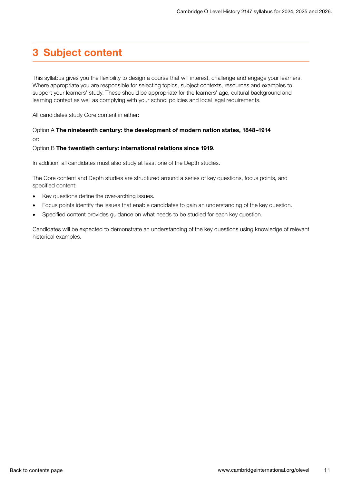# <span id="page-10-0"></span>3 Subject content

This syllabus gives you the flexibility to design a course that will interest, challenge and engage your learners. Where appropriate you are responsible for selecting topics, subject contexts, resources and examples to support your learners' study. These should be appropriate for the learners' age, cultural background and learning context as well as complying with your school policies and local legal requirements.

All candidates study Core content in either:

### Option A The nineteenth century: the development of modern nation states, 1848–1914 or:

#### Option B The twentieth century: international relations since 1919.

In addition, all candidates must also study at least one of the Depth studies.

The Core content and Depth studies are structured around a series of key questions, focus points, and specified content:

- Key questions define the over-arching issues.
- Focus points identify the issues that enable candidates to gain an understanding of the key question.
- Specified content provides guidance on what needs to be studied for each key question.

Candidates will be expected to demonstrate an understanding of the key questions using knowledge of relevant historical examples.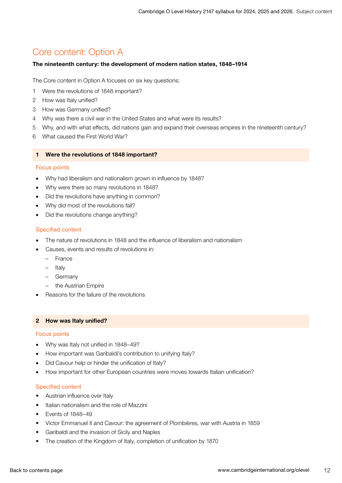# <span id="page-11-0"></span>Core content: Option A

#### The nineteenth century: the development of modern nation states, 1848–1914

The Core content in Option A focuses on six key questions:

- 1 Were the revolutions of 1848 important?
- 2 How was Italy unified?
- 3 How was Germany unified?
- 4 Why was there a civil war in the United States and what were its results?
- 5 Why, and with what effects, did nations gain and expand their overseas empires in the nineteenth century?
- 6 What caused the First World War?

#### 1 Were the revolutions of 1848 important?

#### Focus points

- Why had liberalism and nationalism grown in influence by 1848?
- Why were there so many revolutions in 1848?
- Did the revolutions have anything in common?
- Why did most of the revolutions fail?
- Did the revolutions change anything?

#### Specified content

- The nature of revolutions in 1848 and the influence of liberalism and nationalism
- Causes, events and results of revolutions in:
	- France
	- Italy
	- Germany
	- the Austrian Empire
- Reasons for the failure of the revolutions

#### 2 How was Italy unified?

#### Focus points

- Why was Italy not unified in 1848–49?
- How important was Garibaldi's contribution to unifying Italy?
- Did Cavour help or hinder the unification of Italy?
- How important for other European countries were moves towards Italian unification?

- Austrian influence over Italy
- Italian nationalism and the role of Mazzini
- Events of 1848–49
- Victor Emmanuel II and Cavour: the agreement of Plombières, war with Austria in 1859
- Garibaldi and the invasion of Sicily and Naples
- The creation of the Kingdom of Italy, completion of unification by 1870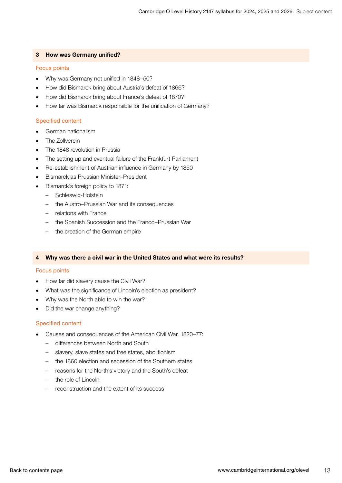#### 3 How was Germany unified?

#### Focus points

- Why was Germany not unified in 1848–50?
- How did Bismarck bring about Austria's defeat of 1866?
- How did Bismarck bring about France's defeat of 1870?
- How far was Bismarck responsible for the unification of Germany?

#### Specified content

- German nationalism
- The Zollverein
- The 1848 revolution in Prussia
- The setting up and eventual failure of the Frankfurt Parliament
- Re-establishment of Austrian influence in Germany by 1850
- Bismarck as Prussian Minister–President
- Bismarck's foreign policy to 1871:
	- Schleswig-Holstein
	- the Austro–Prussian War and its consequences
	- relations with France
	- the Spanish Succession and the Franco–Prussian War
	- the creation of the German empire

#### 4 Why was there a civil war in the United States and what were its results?

#### Focus points

- How far did slavery cause the Civil War?
- What was the significance of Lincoln's election as president?
- Why was the North able to win the war?
- Did the war change anything?

- Causes and consequences of the American Civil War, 1820–77:
	- differences between North and South
	- slavery, slave states and free states, abolitionism
	- the 1860 election and secession of the Southern states
	- reasons for the North's victory and the South's defeat
	- the role of Lincoln
	- reconstruction and the extent of its success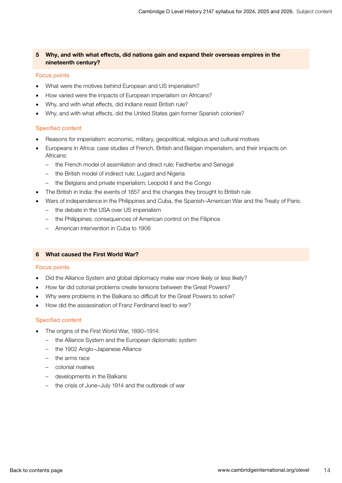#### 5 Why, and with what effects, did nations gain and expand their overseas empires in the nineteenth century?

#### Focus points

- What were the motives behind European and US imperialism?
- How varied were the impacts of European imperialism on Africans?
- Why, and with what effects, did Indians resist British rule?
- Why, and with what effects, did the United States gain former Spanish colonies?

#### Specified content

- Reasons for imperialism: economic, military, geopolitical, religious and cultural motives
- Europeans in Africa: case studies of French, British and Belgian imperialism, and their impacts on Africans:
	- the French model of assimilation and direct rule; Faidherbe and Senegal
	- the British model of indirect rule; Lugard and Nigeria
	- the Belgians and private imperialism; Leopold II and the Congo
- The British in India: the events of 1857 and the changes they brought to British rule
- Wars of independence in the Philippines and Cuba, the Spanish–American War and the Treaty of Paris:
	- the debate in the USA over US imperialism
	- the Philippines; consequences of American control on the Filipinos
	- American intervention in Cuba to 1906

#### 6 What caused the First World War?

#### Focus points

- Did the Alliance System and global diplomacy make war more likely or less likely?
- How far did colonial problems create tensions between the Great Powers?
- Why were problems in the Balkans so difficult for the Great Powers to solve?
- How did the assassination of Franz Ferdinand lead to war?

- The origins of the First World War, 1890–1914:
	- the Alliance System and the European diplomatic system
	- the 1902 Anglo–Japanese Alliance
	- the arms race
	- colonial rivalries
	- developments in the Balkans
	- the crisis of June-July 1914 and the outbreak of war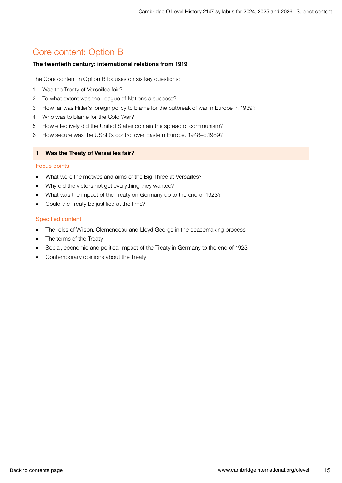# <span id="page-14-0"></span>Core content: Option B

#### The twentieth century: international relations from 1919

The Core content in Option B focuses on six key questions:

- 1 Was the Treaty of Versailles fair?
- 2 To what extent was the League of Nations a success?
- 3 How far was Hitler's foreign policy to blame for the outbreak of war in Europe in 1939?
- 4 Who was to blame for the Cold War?
- 5 How effectively did the United States contain the spread of communism?
- 6 How secure was the USSR's control over Eastern Europe, 1948–c.1989?

#### 1 Was the Treaty of Versailles fair?

#### Focus points

- What were the motives and aims of the Big Three at Versailles?
- Why did the victors not get everything they wanted?
- What was the impact of the Treaty on Germany up to the end of 1923?
- Could the Treaty be justified at the time?

- The roles of Wilson, Clemenceau and Lloyd George in the peacemaking process
- The terms of the Treaty
- Social, economic and political impact of the Treaty in Germany to the end of 1923
- Contemporary opinions about the Treaty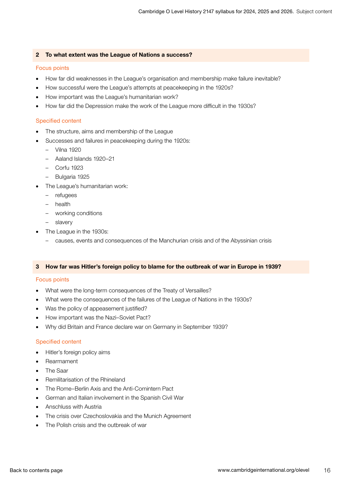#### 2 To what extent was the League of Nations a success?

#### Focus points

- How far did weaknesses in the League's organisation and membership make failure inevitable?
- How successful were the League's attempts at peacekeeping in the 1920s?
- How important was the League's humanitarian work?
- How far did the Depression make the work of the League more difficult in the 1930s?

#### Specified content

- The structure, aims and membership of the League
- Successes and failures in peacekeeping during the 1920s:
	- Vilna 1920
	- Aaland Islands 1920–21
	- Corfu 1923
	- Bulgaria 1925
- The League's humanitarian work:
	- refugees
	- health
	- working conditions
	- slavery
- The League in the 1930s:
	- causes, events and consequences of the Manchurian crisis and of the Abyssinian crisis

#### 3 How far was Hitler's foreign policy to blame for the outbreak of war in Europe in 1939?

#### Focus points

- What were the long-term consequences of the Treaty of Versailles?
- What were the consequences of the failures of the League of Nations in the 1930s?
- Was the policy of appeasement justified?
- How important was the Nazi–Soviet Pact?
- Why did Britain and France declare war on Germany in September 1939?

- Hitler's foreign policy aims
- Rearmament
- The Saar
- Remilitarisation of the Rhineland
- The Rome–Berlin Axis and the Anti-Comintern Pact
- German and Italian involvement in the Spanish Civil War
- Anschluss with Austria
- The crisis over Czechoslovakia and the Munich Agreement
- The Polish crisis and the outbreak of war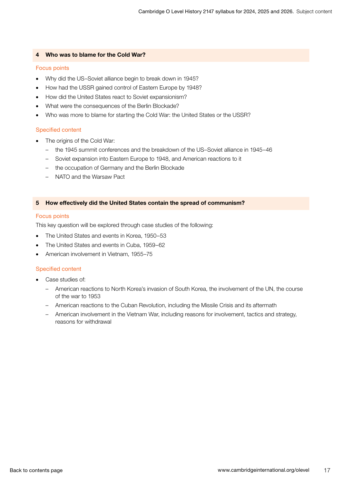#### 4 Who was to blame for the Cold War?

#### Focus points

- Why did the US–Soviet alliance begin to break down in 1945?
- How had the USSR gained control of Eastern Europe by 1948?
- How did the United States react to Soviet expansionism?
- What were the consequences of the Berlin Blockade?
- Who was more to blame for starting the Cold War: the United States or the USSR?

#### Specified content

- The origins of the Cold War:
	- the 1945 summit conferences and the breakdown of the US–Soviet alliance in 1945–46
	- Soviet expansion into Eastern Europe to 1948, and American reactions to it
	- the occupation of Germany and the Berlin Blockade
	- NATO and the Warsaw Pact

#### 5 How effectively did the United States contain the spread of communism?

#### Focus points

This key question will be explored through case studies of the following:

- The United States and events in Korea, 1950–53
- The United States and events in Cuba, 1959–62
- American involvement in Vietnam, 1955–75

- Case studies of:
	- American reactions to North Korea's invasion of South Korea, the involvement of the UN, the course of the war to 1953
	- American reactions to the Cuban Revolution, including the Missile Crisis and its aftermath
	- American involvement in the Vietnam War, including reasons for involvement, tactics and strategy, reasons for withdrawal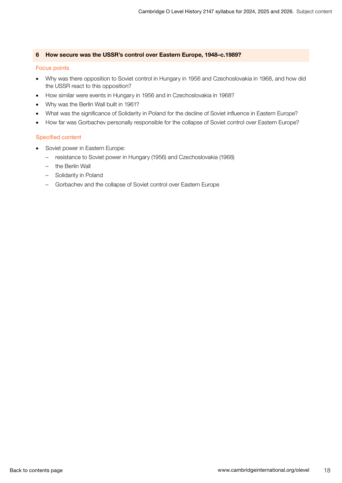#### 6 How secure was the USSR's control over Eastern Europe, 1948–c.1989?

#### Focus points

- Why was there opposition to Soviet control in Hungary in 1956 and Czechoslovakia in 1968, and how did the USSR react to this opposition?
- How similar were events in Hungary in 1956 and in Czechoslovakia in 1968?
- Why was the Berlin Wall built in 1961?
- What was the significance of Solidarity in Poland for the decline of Soviet influence in Eastern Europe?
- How far was Gorbachev personally responsible for the collapse of Soviet control over Eastern Europe?

- Soviet power in Eastern Europe:
	- resistance to Soviet power in Hungary (1956) and Czechoslovakia (1968)
	- the Berlin Wall
	- Solidarity in Poland
	- Gorbachev and the collapse of Soviet control over Eastern Europe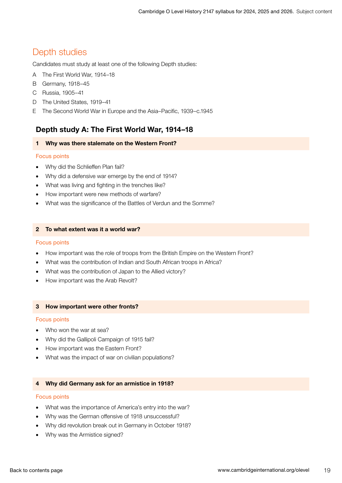# <span id="page-18-0"></span>Depth studies

Candidates must study at least one of the following Depth studies:

- A The First World War, 1914–18
- B Germany, 1918–45
- C Russia, 1905–41
- D The United States, 1919–41
- E The Second World War in Europe and the Asia–Pacific, 1939–c.1945

### Depth study A: The First World War, 1914–18

#### 1 Why was there stalemate on the Western Front?

#### Focus points

- Why did the Schlieffen Plan fail?
- Why did a defensive war emerge by the end of 1914?
- What was living and fighting in the trenches like?
- How important were new methods of warfare?
- What was the significance of the Battles of Verdun and the Somme?

#### 2 To what extent was it a world war?

#### Focus points

- How important was the role of troops from the British Empire on the Western Front?
- What was the contribution of Indian and South African troops in Africa?
- What was the contribution of Japan to the Allied victory?
- How important was the Arab Revolt?

#### 3 How important were other fronts?

#### Focus points

- Who won the war at sea?
- Why did the Gallipoli Campaign of 1915 fail?
- How important was the Eastern Front?
- What was the impact of war on civilian populations?

#### 4 Why did Germany ask for an armistice in 1918?

#### Focus points

- What was the importance of America's entry into the war?
- Why was the German offensive of 1918 unsuccessful?
- Why did revolution break out in Germany in October 1918?
- Why was the Armistice signed?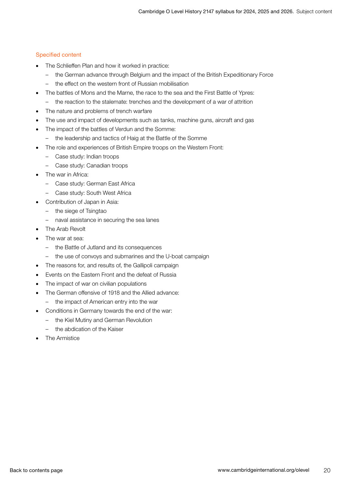- The Schlieffen Plan and how it worked in practice:
	- the German advance through Belgium and the impact of the British Expeditionary Force
	- the effect on the western front of Russian mobilisation
- The battles of Mons and the Marne, the race to the sea and the First Battle of Ypres:
	- the reaction to the stalemate: trenches and the development of a war of attrition
- The nature and problems of trench warfare
- The use and impact of developments such as tanks, machine guns, aircraft and gas
- The impact of the battles of Verdun and the Somme:
	- the leadership and tactics of Haig at the Battle of the Somme
- The role and experiences of British Empire troops on the Western Front:
	- Case study: Indian troops
	- Case study: Canadian troops
- The war in Africa:
	- Case study: German East Africa
	- Case study: South West Africa
- Contribution of Japan in Asia:
	- the siege of Tsingtao
	- naval assistance in securing the sea lanes
- The Arab Revolt
- The war at sea:
	- the Battle of Jutland and its consequences
	- the use of convoys and submarines and the U-boat campaign
- The reasons for, and results of, the Gallipoli campaign
- Events on the Eastern Front and the defeat of Russia
- The impact of war on civilian populations
- The German offensive of 1918 and the Allied advance:
	- the impact of American entry into the war
- Conditions in Germany towards the end of the war:
	- the Kiel Mutiny and German Revolution
	- the abdication of the Kaiser
- The Armistice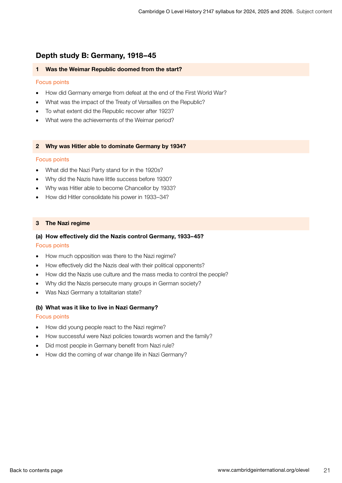### Depth study B: Germany, 1918–45

#### 1 Was the Weimar Republic doomed from the start?

#### Focus points

- How did Germany emerge from defeat at the end of the First World War?
- What was the impact of the Treaty of Versailles on the Republic?
- To what extent did the Republic recover after 1923?
- What were the achievements of the Weimar period?

#### 2 Why was Hitler able to dominate Germany by 1934?

#### Focus points

- What did the Nazi Party stand for in the 1920s?
- Why did the Nazis have little success before 1930?
- Why was Hitler able to become Chancellor by 1933?
- How did Hitler consolidate his power in 1933–34?

#### 3 The Nazi regime

#### (a) How effectively did the Nazis control Germany, 1933–45?

#### Focus points

- How much opposition was there to the Nazi regime?
- How effectively did the Nazis deal with their political opponents?
- How did the Nazis use culture and the mass media to control the people?
- Why did the Nazis persecute many groups in German society?
- Was Nazi Germany a totalitarian state?

#### (b) What was it like to live in Nazi Germany?

#### Focus points

- How did young people react to the Nazi regime?
- How successful were Nazi policies towards women and the family?
- Did most people in Germany benefit from Nazi rule?
- How did the coming of war change life in Nazi Germany?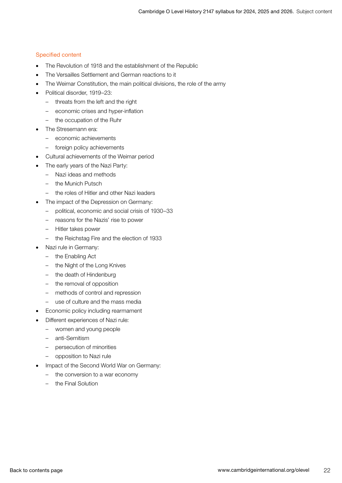- The Revolution of 1918 and the establishment of the Republic
- The Versailles Settlement and German reactions to it
- The Weimar Constitution, the main political divisions, the role of the army
- Political disorder, 1919–23:
	- threats from the left and the right
	- economic crises and hyper-inflation
	- the occupation of the Ruhr
- The Stresemann era:
	- economic achievements
	- foreign policy achievements
- Cultural achievements of the Weimar period
- The early years of the Nazi Party:
	- Nazi ideas and methods
	- the Munich Putsch
	- the roles of Hitler and other Nazi leaders
- The impact of the Depression on Germany:
	- political, economic and social crisis of 1930–33
	- reasons for the Nazis' rise to power
	- Hitler takes power
	- the Reichstag Fire and the election of 1933
- Nazi rule in Germany:
	- the Enabling Act
	- the Night of the Long Knives
	- the death of Hindenburg
	- the removal of opposition
	- methods of control and repression
	- use of culture and the mass media
- Economic policy including rearmament
- Different experiences of Nazi rule:
	- women and young people
	- anti-Semitism
	- persecution of minorities
	- opposition to Nazi rule
- Impact of the Second World War on Germany:
	- the conversion to a war economy
	- the Final Solution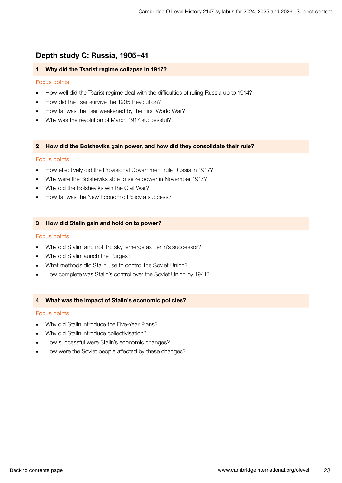### Depth study C: Russia, 1905–41

#### 1 Why did the Tsarist regime collapse in 1917?

#### Focus points

- How well did the Tsarist regime deal with the difficulties of ruling Russia up to 1914?
- How did the Tsar survive the 1905 Revolution?
- How far was the Tsar weakened by the First World War?
- Why was the revolution of March 1917 successful?

#### 2 How did the Bolsheviks gain power, and how did they consolidate their rule?

#### Focus points

- How effectively did the Provisional Government rule Russia in 1917?
- Why were the Bolsheviks able to seize power in November 1917?
- Why did the Bolsheviks win the Civil War?
- How far was the New Economic Policy a success?

#### 3 How did Stalin gain and hold on to power?

#### Focus points

- Why did Stalin, and not Trotsky, emerge as Lenin's successor?
- Why did Stalin launch the Purges?
- What methods did Stalin use to control the Soviet Union?
- How complete was Stalin's control over the Soviet Union by 1941?

#### 4 What was the impact of Stalin's economic policies?

#### Focus points

- Why did Stalin introduce the Five-Year Plans?
- Why did Stalin introduce collectivisation?
- How successful were Stalin's economic changes?
- How were the Soviet people affected by these changes?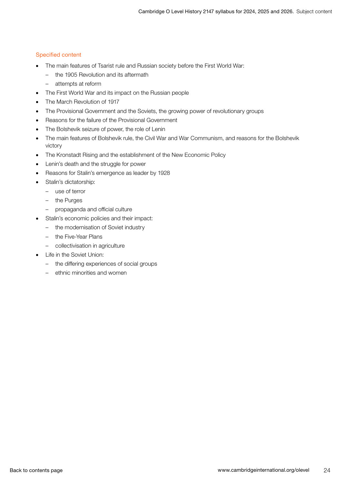- The main features of Tsarist rule and Russian society before the First World War:
	- the 1905 Revolution and its aftermath
	- attempts at reform
- The First World War and its impact on the Russian people
- The March Revolution of 1917
- The Provisional Government and the Soviets, the growing power of revolutionary groups
- Reasons for the failure of the Provisional Government
- The Bolshevik seizure of power, the role of Lenin
- The main features of Bolshevik rule, the Civil War and War Communism, and reasons for the Bolshevik victory
- The Kronstadt Rising and the establishment of the New Economic Policy
- Lenin's death and the struggle for power
- Reasons for Stalin's emergence as leader by 1928
- Stalin's dictatorship:
	- use of terror
	- the Purges
	- propaganda and official culture
	- Stalin's economic policies and their impact:
		- the modernisation of Soviet industry
		- the Five-Year Plans
		- collectivisation in agriculture
- **Life in the Soviet Union:** 
	- the differing experiences of social groups
	- ethnic minorities and women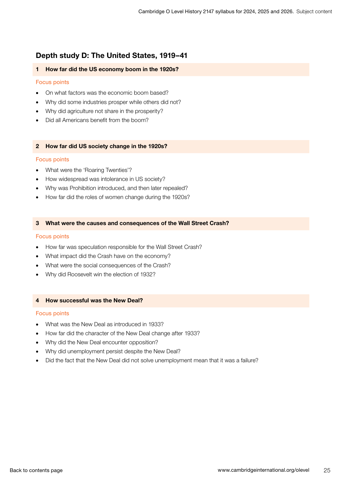### Depth study D: The United States, 1919–41

#### 1 How far did the US economy boom in the 1920s?

#### Focus points

- On what factors was the economic boom based?
- Why did some industries prosper while others did not?
- Why did agriculture not share in the prosperity?
- Did all Americans benefit from the boom?

#### 2 How far did US society change in the 1920s?

#### Focus points

- What were the 'Roaring Twenties'?
- How widespread was intolerance in US society?
- Why was Prohibition introduced, and then later repealed?
- How far did the roles of women change during the 1920s?

#### 3 What were the causes and consequences of the Wall Street Crash?

#### Focus points

- How far was speculation responsible for the Wall Street Crash?
- What impact did the Crash have on the economy?
- What were the social consequences of the Crash?
- Why did Roosevelt win the election of 1932?

#### 4 How successful was the New Deal?

#### Focus points

- What was the New Deal as introduced in 1933?
- How far did the character of the New Deal change after 1933?
- Why did the New Deal encounter opposition?
- Why did unemployment persist despite the New Deal?
- Did the fact that the New Deal did not solve unemployment mean that it was a failure?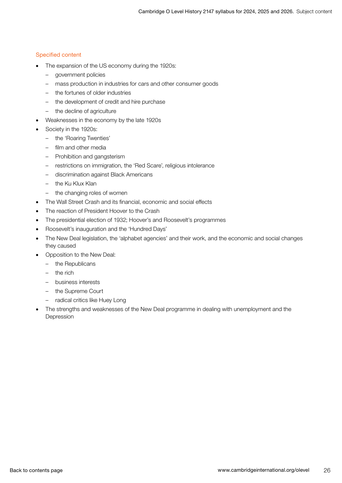- The expansion of the US economy during the 1920s:
	- government policies
	- mass production in industries for cars and other consumer goods
	- the fortunes of older industries
	- the development of credit and hire purchase
	- the decline of agriculture
- Weaknesses in the economy by the late 1920s
- Society in the 1920s:
	- the 'Roaring Twenties'
	- film and other media
	- Prohibition and gangsterism
	- restrictions on immigration, the 'Red Scare', religious intolerance
	- discrimination against Black Americans
	- the Ku Klux Klan
	- the changing roles of women
- The Wall Street Crash and its financial, economic and social effects
- The reaction of President Hoover to the Crash
- The presidential election of 1932; Hoover's and Roosevelt's programmes
- Roosevelt's inauguration and the 'Hundred Days'
- The New Deal legislation, the 'alphabet agencies' and their work, and the economic and social changes they caused
- Opposition to the New Deal:
	- the Republicans
	- the rich
	- business interests
	- the Supreme Court
	- radical critics like Huey Long
- The strengths and weaknesses of the New Deal programme in dealing with unemployment and the Depression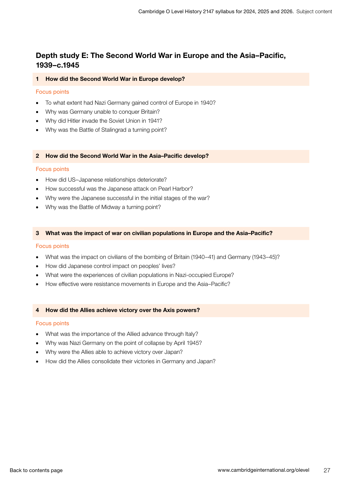### Depth study E: The Second World War in Europe and the Asia–Pacific, 1939–c.1945

#### 1 How did the Second World War in Europe develop?

#### Focus points

- To what extent had Nazi Germany gained control of Europe in 1940?
- Why was Germany unable to conquer Britain?
- Why did Hitler invade the Soviet Union in 1941?
- Why was the Battle of Stalingrad a turning point?

#### 2 How did the Second World War in the Asia–Pacific develop?

#### Focus points

- How did US–Japanese relationships deteriorate?
- How successful was the Japanese attack on Pearl Harbor?
- Why were the Japanese successful in the initial stages of the war?
- Why was the Battle of Midway a turning point?

#### 3 What was the impact of war on civilian populations in Europe and the Asia–Pacific?

#### Focus points

- What was the impact on civilians of the bombing of Britain (1940–41) and Germany (1943–45)?
- How did Japanese control impact on peoples' lives?
- What were the experiences of civilian populations in Nazi-occupied Europe?
- How effective were resistance movements in Europe and the Asia–Pacific?

#### 4 How did the Allies achieve victory over the Axis powers?

#### Focus points

- What was the importance of the Allied advance through Italy?
- Why was Nazi Germany on the point of collapse by April 1945?
- Why were the Allies able to achieve victory over Japan?
- How did the Allies consolidate their victories in Germany and Japan?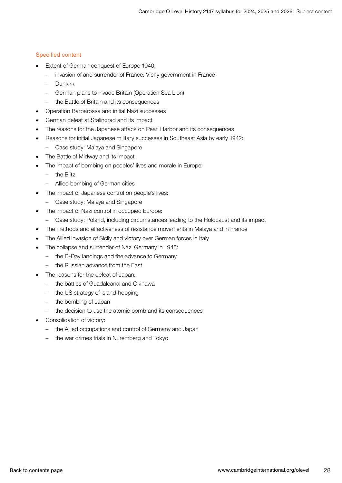- Extent of German conquest of Europe 1940:
	- invasion of and surrender of France; Vichy government in France
	- Dunkirk
	- German plans to invade Britain (Operation Sea Lion)
	- the Battle of Britain and its consequences
- Operation Barbarossa and initial Nazi successes
- German defeat at Stalingrad and its impact
- The reasons for the Japanese attack on Pearl Harbor and its consequences
- Reasons for initial Japanese military successes in Southeast Asia by early 1942:
	- Case study: Malaya and Singapore
- The Battle of Midway and its impact
- The impact of bombing on peoples' lives and morale in Europe:
	- the Blitz
	- Allied bombing of German cities
- The impact of Japanese control on people's lives:
	- Case study: Malaya and Singapore
- The impact of Nazi control in occupied Europe:
	- Case study: Poland, including circumstances leading to the Holocaust and its impact
- The methods and effectiveness of resistance movements in Malaya and in France
- The Allied invasion of Sicily and victory over German forces in Italy
- The collapse and surrender of Nazi Germany in 1945:
	- the D-Day landings and the advance to Germany
	- the Russian advance from the East
- The reasons for the defeat of Japan:
	- the battles of Guadalcanal and Okinawa
	- the US strategy of island-hopping
	- the bombing of Japan
	- the decision to use the atomic bomb and its consequences
- Consolidation of victory:
	- the Allied occupations and control of Germany and Japan
	- the war crimes trials in Nuremberg and Tokyo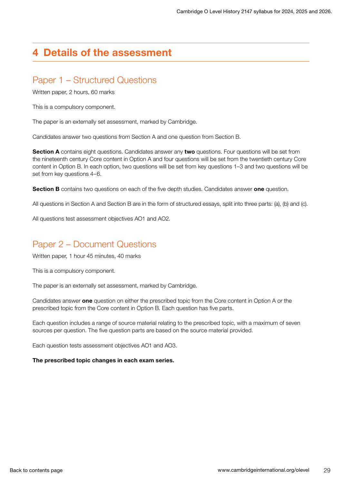# <span id="page-28-0"></span>4 Details of the assessment

# Paper 1 – Structured Questions

Written paper, 2 hours, 60 marks

This is a compulsory component.

The paper is an externally set assessment, marked by Cambridge.

Candidates answer two questions from Section A and one question from Section B.

Section A contains eight questions. Candidates answer any two questions. Four questions will be set from the nineteenth century Core content in Option A and four questions will be set from the twentieth century Core content in Option B. In each option, two questions will be set from key questions 1–3 and two questions will be set from key questions 4–6.

Section B contains two questions on each of the five depth studies. Candidates answer one question.

All questions in Section A and Section B are in the form of structured essays, split into three parts: (a), (b) and (c).

All questions test assessment objectives AO1 and AO2.

# Paper 2 – Document Questions

Written paper, 1 hour 45 minutes, 40 marks

This is a compulsory component.

The paper is an externally set assessment, marked by Cambridge.

Candidates answer one question on either the prescribed topic from the Core content in Option A or the prescribed topic from the Core content in Option B. Each question has five parts.

Each question includes a range of source material relating to the prescribed topic, with a maximum of seven sources per question. The five question parts are based on the source material provided.

Each question tests assessment objectives AO1 and AO3.

#### The prescribed topic changes in each exam series.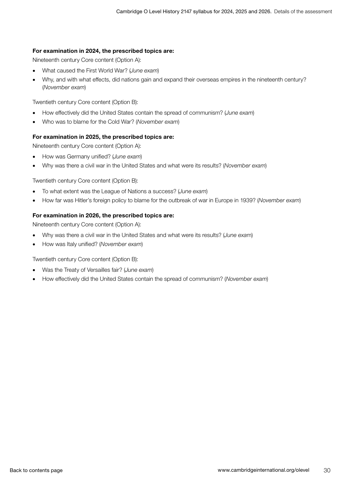#### For examination in 2024, the prescribed topics are:

Nineteenth century Core content (Option A):

- What caused the First World War? (*June exam*)
- Why, and with what effects, did nations gain and expand their overseas empires in the nineteenth century? (*November exam*)

Twentieth century Core content (Option B):

- How effectively did the United States contain the spread of communism? (*June exam*)
- Who was to blame for the Cold War? (*November exam*)

#### For examination in 2025, the prescribed topics are:

Nineteenth century Core content (Option A):

- How was Germany unified? (*June exam*)
- Why was there a civil war in the United States and what were its results? (*November exam*)

Twentieth century Core content (Option B):

- To what extent was the League of Nations a success? (*June exam*)
- How far was Hitler's foreign policy to blame for the outbreak of war in Europe in 1939? (*November exam*)

#### For examination in 2026, the prescribed topics are:

Nineteenth century Core content (Option A):

- Why was there a civil war in the United States and what were its results? (*June exa*m)
- How was Italy unified? (*November exam*)

Twentieth century Core content (Option B):

- Was the Treaty of Versailles fair? (*June exam*)
- How effectively did the United States contain the spread of communism? (*November exam*)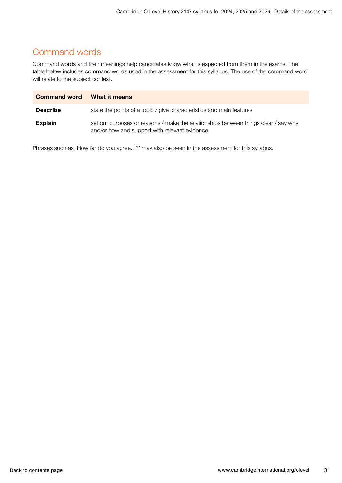# <span id="page-30-0"></span>Command words

Command words and their meanings help candidates know what is expected from them in the exams. The table below includes command words used in the assessment for this syllabus. The use of the command word will relate to the subject context.

| <b>Command word</b> | What it means                                                                                                                        |
|---------------------|--------------------------------------------------------------------------------------------------------------------------------------|
| <b>Describe</b>     | state the points of a topic / give characteristics and main features                                                                 |
| <b>Explain</b>      | set out purposes or reasons / make the relationships between things clear / say why<br>and/or how and support with relevant evidence |

Phrases such as 'How far do you agree…?' may also be seen in the assessment for this syllabus.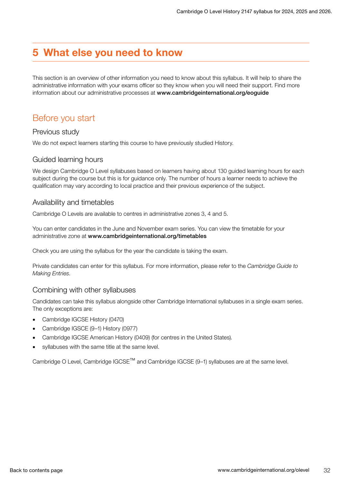# <span id="page-31-0"></span>5 What else you need to know

This section is an overview of other information you need to know about this syllabus. It will help to share the administrative information with your exams officer so they know when you will need their support. Find more information about our administrative processes at www.cambridgeinternational.org/eoguide

# Before you start

### Previous study

We do not expect learners starting this course to have previously studied History.

### Guided learning hours

We design Cambridge O Level syllabuses based on learners having about 130 guided learning hours for each subject during the course but this is for guidance only. The number of hours a learner needs to achieve the qualification may vary according to local practice and their previous experience of the subject.

### Availability and timetables

Cambridge O Levels are available to centres in administrative zones 3, 4 and 5.

You can enter candidates in the June and November exam series. You can view the timetable for your administrative zone at www.cambridgeinternational.org/timetables

Check you are using the syllabus for the year the candidate is taking the exam.

Private candidates can enter for this syllabus. For more information, please refer to the *Cambridge Guide to Making Entries*.

### Combining with other syllabuses

Candidates can take this syllabus alongside other Cambridge International syllabuses in a single exam series. The only exceptions are:

- Cambridge IGCSE History (0470)
- Cambridge IGSCE (9–1) History (0977)
- Cambridge IGCSE American History (0409) (for centres in the United States).
- syllabuses with the same title at the same level.

Cambridge O Level, Cambridge IGCSE™ and Cambridge IGCSE (9–1) syllabuses are at the same level.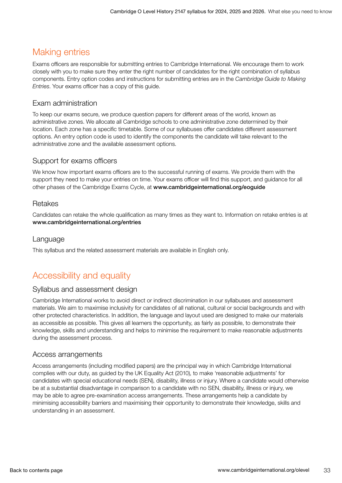# <span id="page-32-0"></span>Making entries

Exams officers are responsible for submitting entries to Cambridge International. We encourage them to work closely with you to make sure they enter the right number of candidates for the right combination of syllabus components. Entry option codes and instructions for submitting entries are in the *Cambridge Guide to Making Entries*. Your exams officer has a copy of this guide.

### Exam administration

To keep our exams secure, we produce question papers for different areas of the world, known as administrative zones. We allocate all Cambridge schools to one administrative zone determined by their location. Each zone has a specific timetable. Some of our syllabuses offer candidates different assessment options. An entry option code is used to identify the components the candidate will take relevant to the administrative zone and the available assessment options.

### Support for exams officers

We know how important exams officers are to the successful running of exams. We provide them with the support they need to make your entries on time. Your exams officer will find this support, and guidance for all other phases of the Cambridge Exams Cycle, at www.cambridgeinternational.org/eoguide

### Retakes

Candidates can retake the whole qualification as many times as they want to. Information on retake entries is at www.cambridgeinternational.org/entries

### Language

This syllabus and the related assessment materials are available in English only.

# Accessibility and equality

### Syllabus and assessment design

Cambridge International works to avoid direct or indirect discrimination in our syllabuses and assessment materials. We aim to maximise inclusivity for candidates of all national, cultural or social backgrounds and with other protected characteristics. In addition, the language and layout used are designed to make our materials as accessible as possible. This gives all learners the opportunity, as fairly as possible, to demonstrate their knowledge, skills and understanding and helps to minimise the requirement to make reasonable adjustments during the assessment process.

### Access arrangements

Access arrangements (including modified papers) are the principal way in which Cambridge International complies with our duty, as guided by the UK Equality Act (2010), to make 'reasonable adjustments' for candidates with special educational needs (SEN), disability, illness or injury. Where a candidate would otherwise be at a substantial disadvantage in comparison to a candidate with no SEN, disability, illness or injury, we may be able to agree pre-examination access arrangements. These arrangements help a candidate by minimising accessibility barriers and maximising their opportunity to demonstrate their knowledge, skills and understanding in an assessment.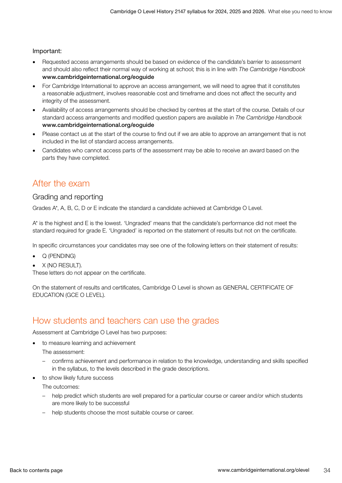#### <span id="page-33-0"></span>Important:

- Requested access arrangements should be based on evidence of the candidate's barrier to assessment and should also reflect their normal way of working at school; this is in line with *The Cambridge Handbook* www.cambridgeinternational.org/eoguide
- For Cambridge International to approve an access arrangement, we will need to agree that it constitutes a reasonable adjustment, involves reasonable cost and timeframe and does not affect the security and integrity of the assessment.
- Availability of access arrangements should be checked by centres at the start of the course. Details of our standard access arrangements and modified question papers are available in *The Cambridge Handbook* www.cambridgeinternational.org/eoguide
- Please contact us at the start of the course to find out if we are able to approve an arrangement that is not included in the list of standard access arrangements.
- Candidates who cannot access parts of the assessment may be able to receive an award based on the parts they have completed.

### After the exam

#### Grading and reporting

Grades A\*, A, B, C, D or E indicate the standard a candidate achieved at Cambridge O Level.

A\* is the highest and E is the lowest. 'Ungraded' means that the candidate's performance did not meet the standard required for grade E. 'Ungraded' is reported on the statement of results but not on the certificate.

In specific circumstances your candidates may see one of the following letters on their statement of results:

- Q (PENDING)
- X (NO RESULT).

These letters do not appear on the certificate.

On the statement of results and certificates, Cambridge O Level is shown as GENERAL CERTIFICATE OF EDUCATION (GCE O LEVEL).

### How students and teachers can use the grades

Assessment at Cambridge O Level has two purposes:

• to measure learning and achievement

The assessment:

- confirms achievement and performance in relation to the knowledge, understanding and skills specified in the syllabus, to the levels described in the grade descriptions.
- to show likely future success

The outcomes:

- help predict which students are well prepared for a particular course or career and/or which students are more likely to be successful
- help students choose the most suitable course or career.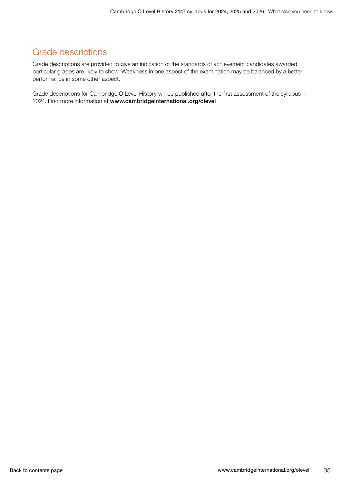# <span id="page-34-0"></span>Grade descriptions

Grade descriptions are provided to give an indication of the standards of achievement candidates awarded particular grades are likely to show. Weakness in one aspect of the examination may be balanced by a better performance in some other aspect.

Grade descriptions for Cambridge O Level History will be published after the first assessment of the syllabus in 2024. Find more information at www.cambridgeinternational.org/olevel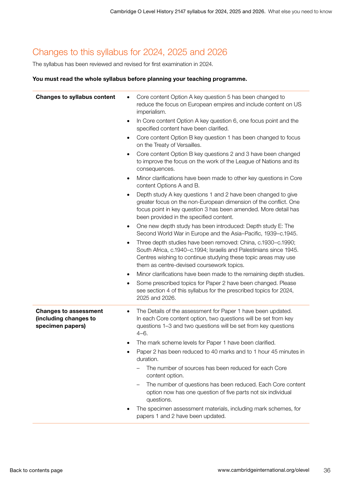# <span id="page-35-0"></span>Changes to this syllabus for 2024, 2025 and 2026

The syllabus has been reviewed and revised for first examination in 2024.

#### You must read the whole syllabus before planning your teaching programme.

| <b>Changes to syllabus content</b>                                        | Core content Option A key question 5 has been changed to<br>reduce the focus on European empires and include content on US<br>imperialism.<br>In Core content Option A key question 6, one focus point and the                                         |
|---------------------------------------------------------------------------|--------------------------------------------------------------------------------------------------------------------------------------------------------------------------------------------------------------------------------------------------------|
|                                                                           | specified content have been clarified.                                                                                                                                                                                                                 |
|                                                                           | Core content Option B key question 1 has been changed to focus<br>٠<br>on the Treaty of Versailles.                                                                                                                                                    |
|                                                                           | Core content Option B key questions 2 and 3 have been changed<br>٠<br>to improve the focus on the work of the League of Nations and its<br>consequences.                                                                                               |
|                                                                           | Minor clarifications have been made to other key questions in Core<br>٠<br>content Options A and B.                                                                                                                                                    |
|                                                                           | Depth study A key questions 1 and 2 have been changed to give<br>٠<br>greater focus on the non-European dimension of the conflict. One<br>focus point in key question 3 has been amended. More detail has<br>been provided in the specified content.   |
|                                                                           | One new depth study has been introduced: Depth study E: The<br>٠<br>Second World War in Europe and the Asia-Pacific, 1939-c.1945.                                                                                                                      |
|                                                                           | Three depth studies have been removed: China, c.1930-c.1990;<br>٠<br>South Africa, c.1940-c.1994; Israelis and Palestinians since 1945.<br>Centres wishing to continue studying these topic areas may use<br>them as centre-devised coursework topics. |
|                                                                           | Minor clarifications have been made to the remaining depth studies.<br>٠                                                                                                                                                                               |
|                                                                           | Some prescribed topics for Paper 2 have been changed. Please<br>٠<br>see section 4 of this syllabus for the prescribed topics for 2024,<br>2025 and 2026.                                                                                              |
| <b>Changes to assessment</b><br>(including changes to<br>specimen papers) | The Details of the assessment for Paper 1 have been updated.<br>٠<br>In each Core content option, two questions will be set from key<br>questions 1-3 and two questions will be set from key questions<br>$4 - 6.$                                     |
|                                                                           | The mark scheme levels for Paper 1 have been clarified.                                                                                                                                                                                                |
|                                                                           | Paper 2 has been reduced to 40 marks and to 1 hour 45 minutes in<br>duration.                                                                                                                                                                          |
|                                                                           | The number of sources has been reduced for each Core<br>content option.                                                                                                                                                                                |
|                                                                           | The number of questions has been reduced. Each Core content<br>option now has one question of five parts not six individual<br>questions.                                                                                                              |
|                                                                           | The specimen assessment materials, including mark schemes, for<br>papers 1 and 2 have been updated.                                                                                                                                                    |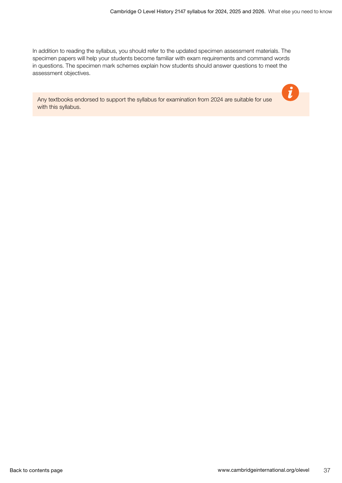$\boldsymbol{\theta}$ 

In addition to reading the syllabus, you should refer to the updated specimen assessment materials. The specimen papers will help your students become familiar with exam requirements and command words in questions. The specimen mark schemes explain how students should answer questions to meet the assessment objectives.

Any textbooks endorsed to support the syllabus for examination from 2024 are suitable for use with this syllabus.